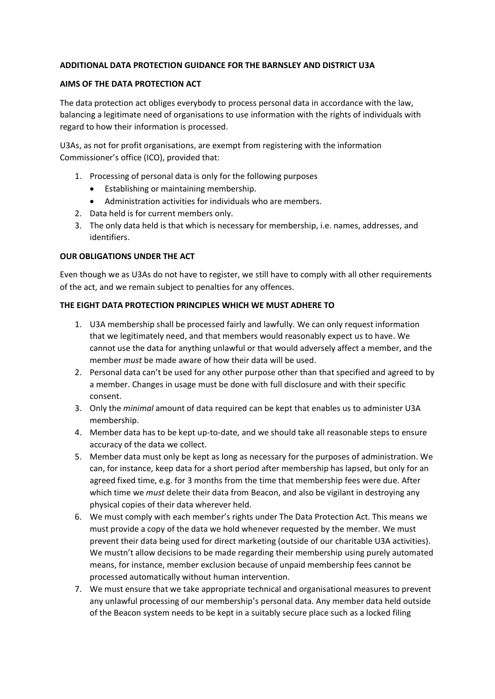### **ADDITIONAL DATA PROTECTION GUIDANCE FOR THE BARNSLEY AND DISTRICT U3A**

#### **AIMS OF THE DATA PROTECTION ACT**

The data protection act obliges everybody to process personal data in accordance with the law, balancing a legitimate need of organisations to use information with the rights of individuals with regard to how their information is processed.

U3As, as not for profit organisations, are exempt from registering with the information Commissioner's office (ICO), provided that:

- 1. Processing of personal data is only for the following purposes
	- Establishing or maintaining membership.
	- Administration activities for individuals who are members.
- 2. Data held is for current members only.
- 3. The only data held is that which is necessary for membership, i.e. names, addresses, and identifiers.

### **OUR OBLIGATIONS UNDER THE ACT**

Even though we as U3As do not have to register, we still have to comply with all other requirements of the act, and we remain subject to penalties for any offences.

### **THE EIGHT DATA PROTECTION PRINCIPLES WHICH WE MUST ADHERE TO**

- 1. U3A membership shall be processed fairly and lawfully. We can only request information that we legitimately need, and that members would reasonably expect us to have. We cannot use the data for anything unlawful or that would adversely affect a member, and the member *must* be made aware of how their data will be used.
- 2. Personal data can't be used for any other purpose other than that specified and agreed to by a member. Changes in usage must be done with full disclosure and with their specific consent.
- 3. Only the *minimal* amount of data required can be kept that enables us to administer U3A membership.
- 4. Member data has to be kept up-to-date, and we should take all reasonable steps to ensure accuracy of the data we collect.
- 5. Member data must only be kept as long as necessary for the purposes of administration. We can, for instance, keep data for a short period after membership has lapsed, but only for an agreed fixed time, e.g. for 3 months from the time that membership fees were due. After which time we *must* delete their data from Beacon, and also be vigilant in destroying any physical copies of their data wherever held.
- 6. We must comply with each member's rights under The Data Protection Act. This means we must provide a copy of the data we hold whenever requested by the member. We must prevent their data being used for direct marketing (outside of our charitable U3A activities). We mustn't allow decisions to be made regarding their membership using purely automated means, for instance, member exclusion because of unpaid membership fees cannot be processed automatically without human intervention.
- 7. We must ensure that we take appropriate technical and organisational measures to prevent any unlawful processing of our membership's personal data. Any member data held outside of the Beacon system needs to be kept in a suitably secure place such as a locked filing